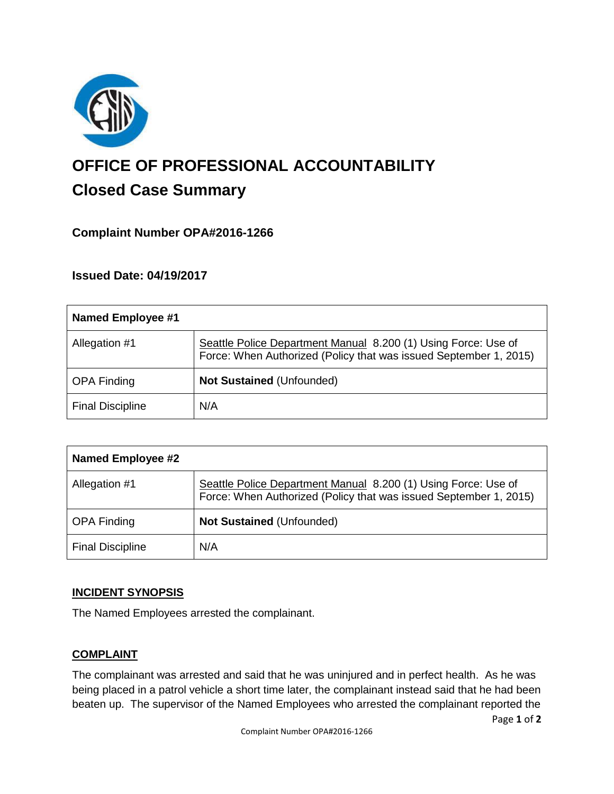

# **OFFICE OF PROFESSIONAL ACCOUNTABILITY Closed Case Summary**

## **Complaint Number OPA#2016-1266**

## **Issued Date: 04/19/2017**

| Named Employee #1       |                                                                                                                                     |
|-------------------------|-------------------------------------------------------------------------------------------------------------------------------------|
| Allegation #1           | Seattle Police Department Manual 8.200 (1) Using Force: Use of<br>Force: When Authorized (Policy that was issued September 1, 2015) |
| <b>OPA Finding</b>      | <b>Not Sustained (Unfounded)</b>                                                                                                    |
| <b>Final Discipline</b> | N/A                                                                                                                                 |

| <b>Named Employee #2</b> |                                                                                                                                     |
|--------------------------|-------------------------------------------------------------------------------------------------------------------------------------|
| Allegation #1            | Seattle Police Department Manual 8.200 (1) Using Force: Use of<br>Force: When Authorized (Policy that was issued September 1, 2015) |
| <b>OPA Finding</b>       | Not Sustained (Unfounded)                                                                                                           |
| <b>Final Discipline</b>  | N/A                                                                                                                                 |

## **INCIDENT SYNOPSIS**

The Named Employees arrested the complainant.

#### **COMPLAINT**

The complainant was arrested and said that he was uninjured and in perfect health. As he was being placed in a patrol vehicle a short time later, the complainant instead said that he had been beaten up. The supervisor of the Named Employees who arrested the complainant reported the